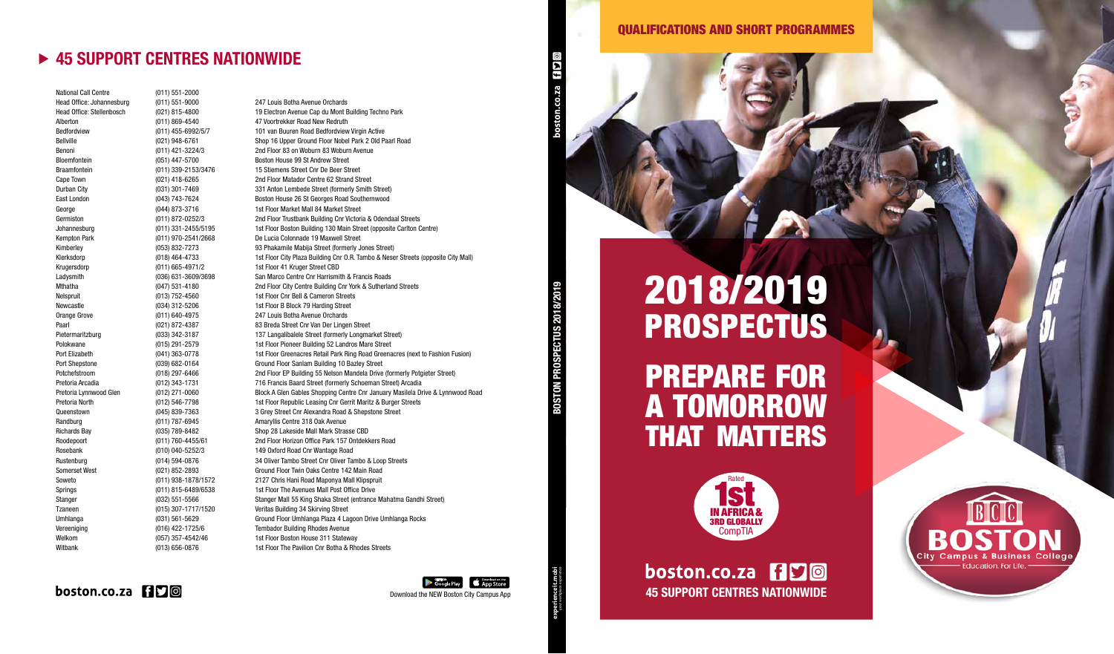### PREPARE FOR A TOMORROW THAT MATTERS

# 2018/2019 **PROSPECTUS**



boston.co.za 150 Download the NEW Boston City Campus App **19 and 1998** 





**experienceit.mobi**

Head Office: Stellenbosch (021) 815-4800 19 Electron Avenue Cap du Mont Building Techno Park Bedfordview (011) 455-6992/5/7 101 van Buuren Road Bedfordview Virgin Active Bellville (021) 948-6761 Shop 16 Upper Ground Floor Nobel Park 2 Old Paarl Road Benoni (011) 421-3224/3 2nd Floor 83 on Woburn 83 Woburn Avenue Durban City (031) 301-7469 331 Anton Lembede Street (formerly Smith Street) East London (043) 743-7624 Boston House 26 St Georges Road Southernwood Germiston (011) 872-0252/3 2nd Floor Trustbank Building Cnr Victoria & Odendaal Streets Johannesburg (011) 331-2455/5195 1st Floor Boston Building 130 Main Street (opposite Carlton Centre) Kimberley **Example 2018** (053) 832-7273 93 Phakamile Mabija Street (formerly Jones Street) Klerksdorp (018) 464-4733 1st Floor City Plaza Building Cnr O.R. Tambo & Neser Streets (opposite City Mall) Ladysmith (036) 631-3609/3698 San Marco Centre Cnr Harrismith & Francis Roads Mthatha (047) 531-4180 2nd Floor City Centre Building Cnr York & Sutherland Streets Pietermaritzburg (033) 342-3187 137 Langalibalele Street (formerly Longmarket Street) Polokwane **1982** 2015) 291-2579 1st Floor Pioneer Building 52 Landros Mare Street Port Elizabeth (041) 363-0778 1st Floor Greenacres Retail Park Ring Road Greenacres (next to Fashion Fusion) Port Shepstone (039) 682-0164 Ground Floor Sanlam Building 10 Bazley Street Potchefstroom (018) 297-6466 2nd Floor EP Building 55 Nelson Mandela Drive (formerly Potgieter Street) Pretoria Arcadia (012) 343-1731 716 Francis Baard Street (formerly Schoeman Street) Arcadia Pretoria Lynnwood Glen (012) 271-0060 Block A Glen Gables Shopping Centre Cnr January Masilela Drive & Lynnwood Road Pretoria North (012) 546-7798 1st Floor Republic Leasing Cnr Gerrit Maritz & Burger Streets Queenstown (045) 839-7363 3 Grey Street Cnr Alexandra Road & Shepstone Street Roodepoort (011) 760-4455/61 2nd Floor Horizon Office Park 157 Ontdekkers Road Rustenburg (014) 594-0876 34 Oliver Tambo Street Cnr Oliver Tambo & Loop Streets Somerset West (021) 852-2893 Ground Floor Twin Oaks Centre 142 Main Road Soweto (011) 938-1878/1572 2127 Chris Hani Road Maponya Mall Klipspruit Springs Springs (011) 815-6489/6538 1st Floor The Avenues Mall Post Office Drive Stanger (032) 551-5566 Stanger Mall 55 King Shaka Street (entrance Mahatma Gandhi Street) Umhlanga (031) 561-5629 Ground Floor Umhlanga Plaza 4 Lagoon Drive Umhlanga Rocks Witbank (013) 656-0876 1st Floor The Pavilion Cnr Botha & Rhodes Streets

#### $\mathbf{b}$ oston.co.za  $\mathbf{H}\mathbf{\Omega}$ a



werkence termology and a series work produce BOSTON PROSPECTUS 2018/2019

National Call Centre (011) 551-2000 Head Office: Johannesburg (011) 551-9000 247 Louis Botha Avenue Orchards Alberton (011) 869-4540 47 Voortrekker Road New Redruth Bloemfontein (051) 447-5700 Boston House 99 St Andrew Street Braamfontein (011) 339-2153/3476 15 Stiemens Street Cnr De Beer Street Cape Town (021) 418-6265 2nd Floor Matador Centre 62 Strand Street George (044) 873-3716 1st Floor Market Mall 84 Market Street Kempton Park (011) 970-2541/2668 De Lucia Colonnade 19 Maxwell Street Krugersdorp (011) 665-4971/2 1st Floor 41 Kruger Street CBD Nelspruit (013) 752-4560 1st Floor Cnr Bell & Cameron Streets Newcastle (034) 312-5206 1st Floor B Block 79 Harding Street Orange Grove (011) 640-4975 247 Louis Botha Avenue Orchards Paarl (021) 872-4387 83 Breda Street Cnr Van Der Lingen Street Randburg (011) 787-6945 Amaryllis Centre 318 Oak Avenue Richards Bay (035) 789-8482 Shop 28 Lakeside Mall Mark Strasse CBD Rosebank (010) 040-5252/3 149 Oxford Road Cnr Wantage Road Tzaneen (015) 307-1717/1520 Veritas Building 34 Skirving Street Vereeniging (016) 422-1725/6 Tembador Building Rhodes Avenue Welkom (057) 357-4542/46 1st Floor Boston House 311 Stateway

#### QUALIFICATIONS AND SHORT PROGRAMMES

#### ▶ 45 SUPPORT CENTRES NATIONWIDE